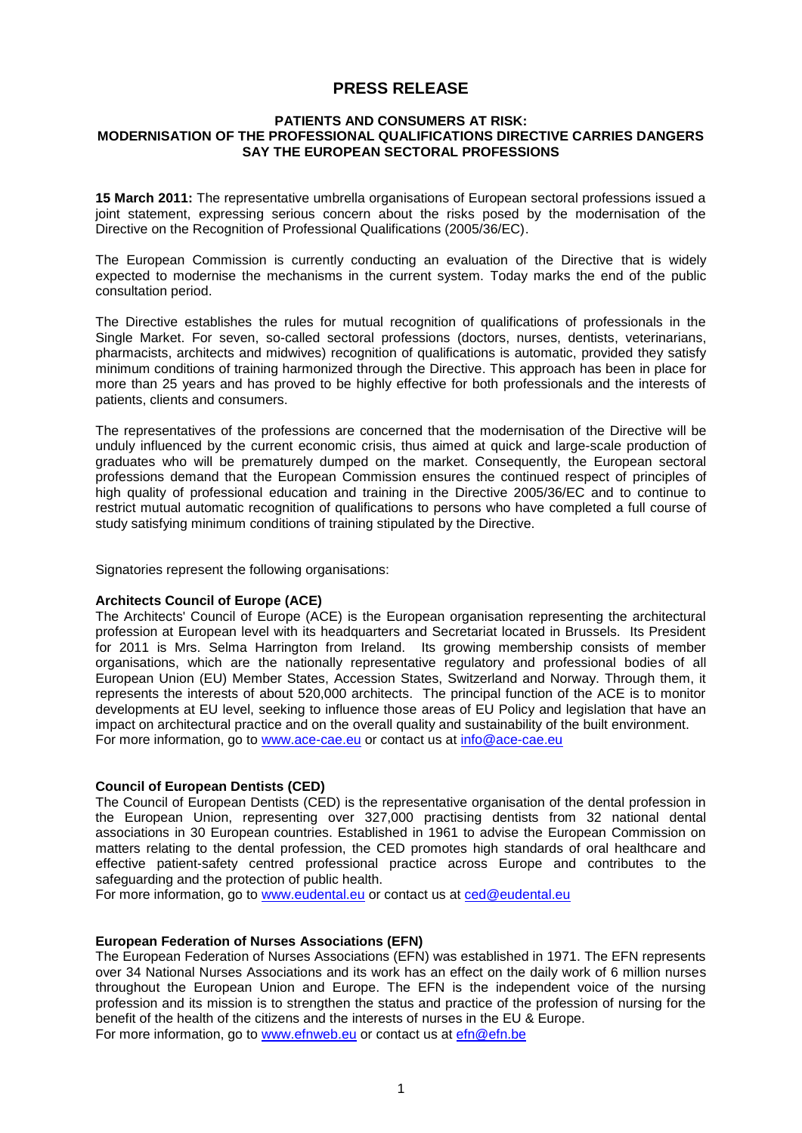# **PRESS RELEASE**

## **PATIENTS AND CONSUMERS AT RISK: MODERNISATION OF THE PROFESSIONAL QUALIFICATIONS DIRECTIVE CARRIES DANGERS SAY THE EUROPEAN SECTORAL PROFESSIONS**

**15 March 2011:** The representative umbrella organisations of European sectoral professions issued a joint statement, expressing serious concern about the risks posed by the modernisation of the Directive on the Recognition of Professional Qualifications (2005/36/EC).

The European Commission is currently conducting an evaluation of the Directive that is widely expected to modernise the mechanisms in the current system. Today marks the end of the public consultation period.

The Directive establishes the rules for mutual recognition of qualifications of professionals in the Single Market. For seven, so-called sectoral professions (doctors, nurses, dentists, veterinarians, pharmacists, architects and midwives) recognition of qualifications is automatic, provided they satisfy minimum conditions of training harmonized through the Directive. This approach has been in place for more than 25 years and has proved to be highly effective for both professionals and the interests of patients, clients and consumers.

The representatives of the professions are concerned that the modernisation of the Directive will be unduly influenced by the current economic crisis, thus aimed at quick and large-scale production of graduates who will be prematurely dumped on the market. Consequently, the European sectoral professions demand that the European Commission ensures the continued respect of principles of high quality of professional education and training in the Directive 2005/36/EC and to continue to restrict mutual automatic recognition of qualifications to persons who have completed a full course of study satisfying minimum conditions of training stipulated by the Directive.

Signatories represent the following organisations:

## **Architects Council of Europe (ACE)**

The Architects' Council of Europe (ACE) is the European organisation representing the architectural profession at European level with its headquarters and Secretariat located in Brussels. Its President for 2011 is Mrs. Selma Harrington from Ireland. Its growing membership consists of member organisations, which are the nationally representative regulatory and professional bodies of all European Union (EU) Member States, Accession States, Switzerland and Norway. Through them, it represents the interests of about 520,000 architects. The principal function of the ACE is to monitor developments at EU level, seeking to influence those areas of EU Policy and legislation that have an impact on architectural practice and on the overall quality and sustainability of the built environment. For more information, go to [www.ace-cae.eu](http://www.ace-cae.eu/) or contact us at [info@ace-cae.eu](mailto:info@ace-cae.eu)

## **Council of European Dentists (CED)**

The Council of European Dentists (CED) is the representative organisation of the dental profession in the European Union, representing over 327,000 practising dentists from 32 national dental associations in 30 European countries. Established in 1961 to advise the European Commission on matters relating to the dental profession, the CED promotes high standards of oral healthcare and effective patient-safety centred professional practice across Europe and contributes to the safeguarding and the protection of public health.

For more information, go to [www.eudental.eu](http://www.eudental.eu/) or contact us at [ced@eudental.eu](mailto:ced@eudental.eu)

## **European Federation of Nurses Associations (EFN)**

The European Federation of Nurses Associations (EFN) was established in 1971. The EFN represents over 34 National Nurses Associations and its work has an effect on the daily work of 6 million nurses throughout the European Union and Europe. The EFN is the independent voice of the nursing profession and its mission is to strengthen the status and practice of the profession of nursing for the benefit of the health of the citizens and the interests of nurses in the EU & Europe. For more information, go to [www.efnweb.eu](http://www.efnweb.eu/) or contact us at [efn@efn.be](mailto:efn@efn.be)